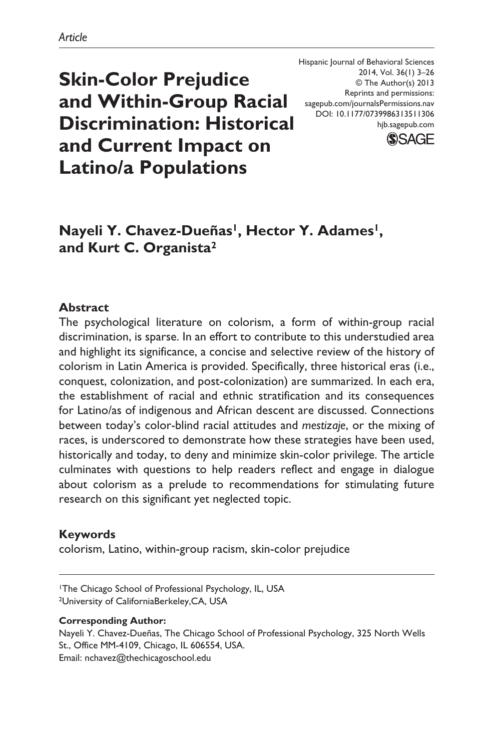**Skin-Color Prejudice and Within-Group Racial Discrimination: Historical and Current Impact on Latino/a Populations**

Hispanic Journal of Behavioral Sciences 2014, Vol. 36(1) 3–26 © The Author(s) 2013 Reprints and permissions: sagepub.com/journalsPermissions.nav DOI: 10.1177/0739986313511306 hjb.sagepub.com



## Nayeli Y. Chavez-Dueñas<sup>1</sup>, Hector Y. Adames<sup>1</sup>, **and Kurt C. Organista2**

#### **Abstract**

The psychological literature on colorism, a form of within-group racial discrimination, is sparse. In an effort to contribute to this understudied area and highlight its significance, a concise and selective review of the history of colorism in Latin America is provided. Specifically, three historical eras (i.e., conquest, colonization, and post-colonization) are summarized. In each era, the establishment of racial and ethnic stratification and its consequences for Latino/as of indigenous and African descent are discussed. Connections between today's color-blind racial attitudes and *mestizaje*, or the mixing of races, is underscored to demonstrate how these strategies have been used, historically and today, to deny and minimize skin-color privilege. The article culminates with questions to help readers reflect and engage in dialogue about colorism as a prelude to recommendations for stimulating future research on this significant yet neglected topic.

#### **Keywords**

colorism, Latino, within-group racism, skin-color prejudice

#### **Corresponding Author:**

Nayeli Y. Chavez-Dueñas, The Chicago School of Professional Psychology, 325 North Wells St., Office MM-4109, Chicago, IL 606554, USA. Email: [nchavez@thechicagoschool.edu](mailto:nchavez@thechicagoschool.edu)

<sup>1</sup>The Chicago School of Professional Psychology, IL, USA 2University of CaliforniaBerkeley,CA, USA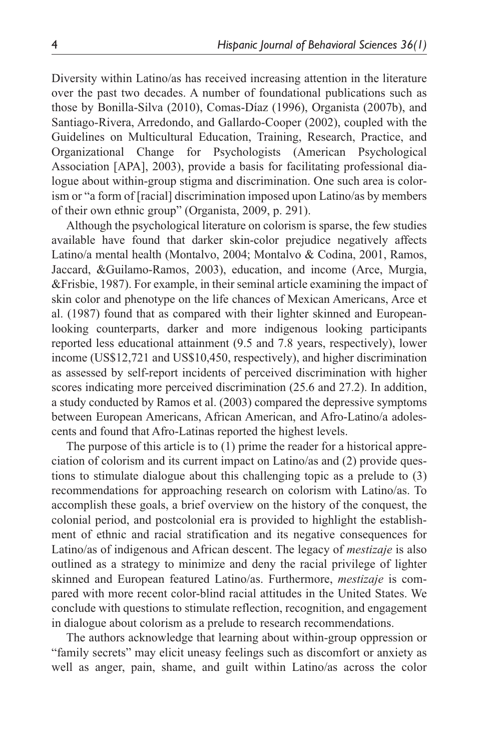Diversity within Latino/as has received increasing attention in the literature over the past two decades. A number of foundational publications such as those by Bonilla-Silva (2010), Comas-Díaz (1996), Organista (2007b), and Santiago-Rivera, Arredondo, and Gallardo-Cooper (2002), coupled with the Guidelines on Multicultural Education, Training, Research, Practice, and Organizational Change for Psychologists (American Psychological Association [APA], 2003), provide a basis for facilitating professional dialogue about within-group stigma and discrimination. One such area is colorism or "a form of [racial] discrimination imposed upon Latino/as by members of their own ethnic group" (Organista, 2009, p. 291).

Although the psychological literature on colorism is sparse, the few studies available have found that darker skin-color prejudice negatively affects Latino/a mental health (Montalvo, 2004; Montalvo & Codina, 2001, Ramos, Jaccard, &Guilamo-Ramos, 2003), education, and income (Arce, Murgia, &Frisbie, 1987). For example, in their seminal article examining the impact of skin color and phenotype on the life chances of Mexican Americans, Arce et al. (1987) found that as compared with their lighter skinned and Europeanlooking counterparts, darker and more indigenous looking participants reported less educational attainment (9.5 and 7.8 years, respectively), lower income (US\$12,721 and US\$10,450, respectively), and higher discrimination as assessed by self-report incidents of perceived discrimination with higher scores indicating more perceived discrimination (25.6 and 27.2). In addition, a study conducted by Ramos et al. (2003) compared the depressive symptoms between European Americans, African American, and Afro-Latino/a adolescents and found that Afro-Latinas reported the highest levels.

The purpose of this article is to (1) prime the reader for a historical appreciation of colorism and its current impact on Latino/as and (2) provide questions to stimulate dialogue about this challenging topic as a prelude to (3) recommendations for approaching research on colorism with Latino/as. To accomplish these goals, a brief overview on the history of the conquest, the colonial period, and postcolonial era is provided to highlight the establishment of ethnic and racial stratification and its negative consequences for Latino/as of indigenous and African descent. The legacy of *mestizaje* is also outlined as a strategy to minimize and deny the racial privilege of lighter skinned and European featured Latino/as. Furthermore, *mestizaje* is compared with more recent color-blind racial attitudes in the United States. We conclude with questions to stimulate reflection, recognition, and engagement in dialogue about colorism as a prelude to research recommendations.

The authors acknowledge that learning about within-group oppression or "family secrets" may elicit uneasy feelings such as discomfort or anxiety as well as anger, pain, shame, and guilt within Latino/as across the color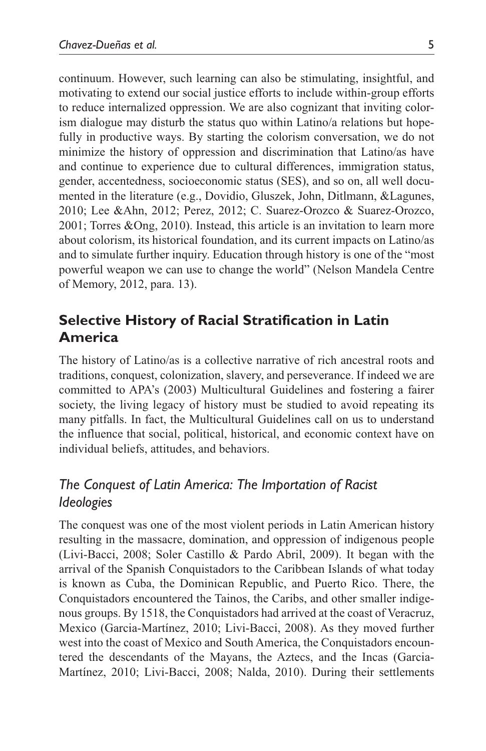continuum. However, such learning can also be stimulating, insightful, and motivating to extend our social justice efforts to include within-group efforts to reduce internalized oppression. We are also cognizant that inviting colorism dialogue may disturb the status quo within Latino/a relations but hopefully in productive ways. By starting the colorism conversation, we do not minimize the history of oppression and discrimination that Latino/as have and continue to experience due to cultural differences, immigration status, gender, accentedness, socioeconomic status (SES), and so on, all well documented in the literature (e.g., Dovidio, Gluszek, John, Ditlmann, &Lagunes, 2010; Lee &Ahn, 2012; Perez, 2012; C. Suarez-Orozco & Suarez-Orozco, 2001; Torres &Ong, 2010). Instead, this article is an invitation to learn more about colorism, its historical foundation, and its current impacts on Latino/as and to simulate further inquiry. Education through history is one of the "most powerful weapon we can use to change the world" (Nelson Mandela Centre of Memory, 2012, para. 13).

## **Selective History of Racial Stratification in Latin America**

The history of Latino/as is a collective narrative of rich ancestral roots and traditions, conquest, colonization, slavery, and perseverance. If indeed we are committed to APA's (2003) Multicultural Guidelines and fostering a fairer society, the living legacy of history must be studied to avoid repeating its many pitfalls. In fact, the Multicultural Guidelines call on us to understand the influence that social, political, historical, and economic context have on individual beliefs, attitudes, and behaviors.

### *The Conquest of Latin America: The Importation of Racist Ideologies*

The conquest was one of the most violent periods in Latin American history resulting in the massacre, domination, and oppression of indigenous people (Livi-Bacci, 2008; Soler Castillo & Pardo Abril, 2009). It began with the arrival of the Spanish Conquistadors to the Caribbean Islands of what today is known as Cuba, the Dominican Republic, and Puerto Rico. There, the Conquistadors encountered the Tainos, the Caribs, and other smaller indigenous groups. By 1518, the Conquistadors had arrived at the coast of Veracruz, Mexico (Garcia-Martínez, 2010; Livi-Bacci, 2008). As they moved further west into the coast of Mexico and South America, the Conquistadors encountered the descendants of the Mayans, the Aztecs, and the Incas (Garcia-Martínez, 2010; Livi-Bacci, 2008; Nalda, 2010). During their settlements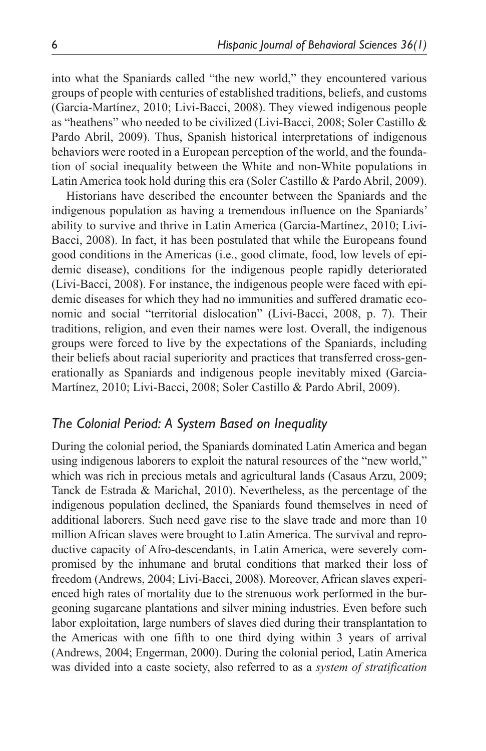into what the Spaniards called "the new world," they encountered various groups of people with centuries of established traditions, beliefs, and customs (Garcia-Martínez, 2010; Livi-Bacci, 2008). They viewed indigenous people as "heathens" who needed to be civilized (Livi-Bacci, 2008; Soler Castillo & Pardo Abril, 2009). Thus, Spanish historical interpretations of indigenous behaviors were rooted in a European perception of the world, and the foundation of social inequality between the White and non-White populations in Latin America took hold during this era (Soler Castillo & Pardo Abril, 2009).

Historians have described the encounter between the Spaniards and the indigenous population as having a tremendous influence on the Spaniards' ability to survive and thrive in Latin America (Garcia-Martínez, 2010; Livi-Bacci, 2008). In fact, it has been postulated that while the Europeans found good conditions in the Americas (i.e., good climate, food, low levels of epidemic disease), conditions for the indigenous people rapidly deteriorated (Livi-Bacci, 2008). For instance, the indigenous people were faced with epidemic diseases for which they had no immunities and suffered dramatic economic and social "territorial dislocation" (Livi-Bacci, 2008, p. 7). Their traditions, religion, and even their names were lost. Overall, the indigenous groups were forced to live by the expectations of the Spaniards, including their beliefs about racial superiority and practices that transferred cross-generationally as Spaniards and indigenous people inevitably mixed (Garcia-Martínez, 2010; Livi-Bacci, 2008; Soler Castillo & Pardo Abril, 2009).

### *The Colonial Period: A System Based on Inequality*

During the colonial period, the Spaniards dominated Latin America and began using indigenous laborers to exploit the natural resources of the "new world," which was rich in precious metals and agricultural lands (Casaus Arzu, 2009; Tanck de Estrada & Marichal, 2010). Nevertheless, as the percentage of the indigenous population declined, the Spaniards found themselves in need of additional laborers. Such need gave rise to the slave trade and more than 10 million African slaves were brought to Latin America. The survival and reproductive capacity of Afro-descendants, in Latin America, were severely compromised by the inhumane and brutal conditions that marked their loss of freedom (Andrews, 2004; Livi-Bacci, 2008). Moreover, African slaves experienced high rates of mortality due to the strenuous work performed in the burgeoning sugarcane plantations and silver mining industries. Even before such labor exploitation, large numbers of slaves died during their transplantation to the Americas with one fifth to one third dying within 3 years of arrival (Andrews, 2004; Engerman, 2000). During the colonial period, Latin America was divided into a caste society, also referred to as a *system of stratification*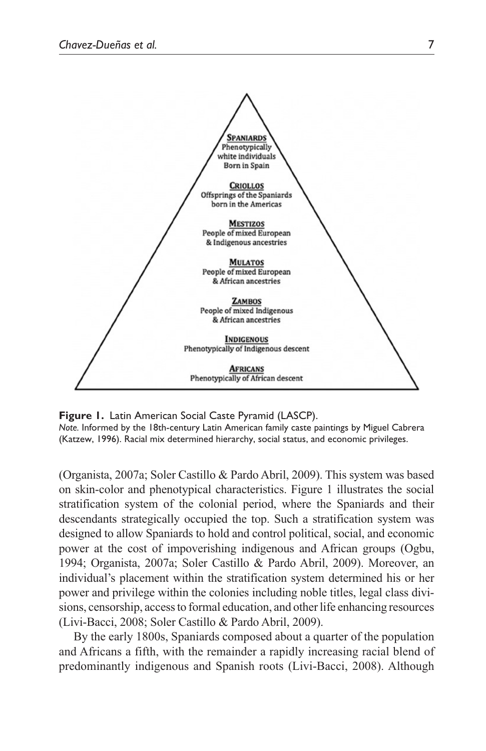

**Figure 1.** Latin American Social Caste Pyramid (LASCP).

*Note.* Informed by the 18th-century Latin American family caste paintings by Miguel Cabrera (Katzew, 1996). Racial mix determined hierarchy, social status, and economic privileges.

(Organista, 2007a; Soler Castillo & Pardo Abril, 2009). This system was based on skin-color and phenotypical characteristics. Figure 1 illustrates the social stratification system of the colonial period, where the Spaniards and their descendants strategically occupied the top. Such a stratification system was designed to allow Spaniards to hold and control political, social, and economic power at the cost of impoverishing indigenous and African groups (Ogbu, 1994; Organista, 2007a; Soler Castillo & Pardo Abril, 2009). Moreover, an individual's placement within the stratification system determined his or her power and privilege within the colonies including noble titles, legal class divisions, censorship, access to formal education, and other life enhancing resources (Livi-Bacci, 2008; Soler Castillo & Pardo Abril, 2009).

By the early 1800s, Spaniards composed about a quarter of the population and Africans a fifth, with the remainder a rapidly increasing racial blend of predominantly indigenous and Spanish roots (Livi-Bacci, 2008). Although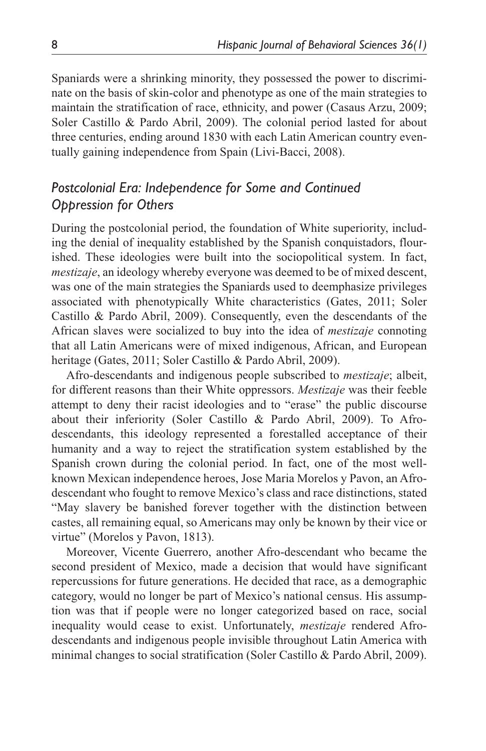Spaniards were a shrinking minority, they possessed the power to discriminate on the basis of skin-color and phenotype as one of the main strategies to maintain the stratification of race, ethnicity, and power (Casaus Arzu, 2009; Soler Castillo & Pardo Abril, 2009). The colonial period lasted for about three centuries, ending around 1830 with each Latin American country eventually gaining independence from Spain (Livi-Bacci, 2008).

### *Postcolonial Era: Independence for Some and Continued Oppression for Others*

During the postcolonial period, the foundation of White superiority, including the denial of inequality established by the Spanish conquistadors, flourished. These ideologies were built into the sociopolitical system. In fact, *mestizaje*, an ideology whereby everyone was deemed to be of mixed descent, was one of the main strategies the Spaniards used to deemphasize privileges associated with phenotypically White characteristics (Gates, 2011; Soler Castillo & Pardo Abril, 2009). Consequently, even the descendants of the African slaves were socialized to buy into the idea of *mestizaje* connoting that all Latin Americans were of mixed indigenous, African, and European heritage (Gates, 2011; Soler Castillo & Pardo Abril, 2009).

Afro-descendants and indigenous people subscribed to *mestizaje*; albeit, for different reasons than their White oppressors. *Mestizaje* was their feeble attempt to deny their racist ideologies and to "erase" the public discourse about their inferiority (Soler Castillo & Pardo Abril, 2009). To Afrodescendants, this ideology represented a forestalled acceptance of their humanity and a way to reject the stratification system established by the Spanish crown during the colonial period. In fact, one of the most wellknown Mexican independence heroes, Jose Maria Morelos y Pavon, an Afrodescendant who fought to remove Mexico's class and race distinctions, stated "May slavery be banished forever together with the distinction between castes, all remaining equal, so Americans may only be known by their vice or virtue" (Morelos y Pavon, 1813).

Moreover, Vicente Guerrero, another Afro-descendant who became the second president of Mexico, made a decision that would have significant repercussions for future generations. He decided that race, as a demographic category, would no longer be part of Mexico's national census. His assumption was that if people were no longer categorized based on race, social inequality would cease to exist. Unfortunately, *mestizaje* rendered Afrodescendants and indigenous people invisible throughout Latin America with minimal changes to social stratification (Soler Castillo & Pardo Abril, 2009).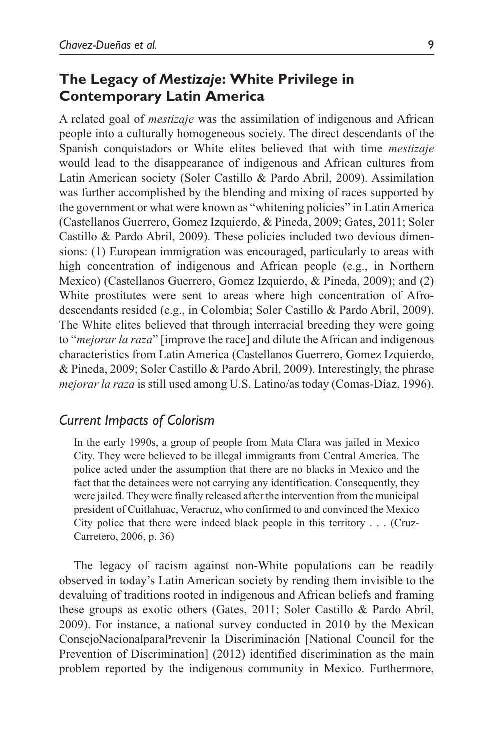### **The Legacy of** *Mestizaje***: White Privilege in Contemporary Latin America**

A related goal of *mestizaje* was the assimilation of indigenous and African people into a culturally homogeneous society. The direct descendants of the Spanish conquistadors or White elites believed that with time *mestizaje* would lead to the disappearance of indigenous and African cultures from Latin American society (Soler Castillo & Pardo Abril, 2009). Assimilation was further accomplished by the blending and mixing of races supported by the government or what were known as "whitening policies" in Latin America (Castellanos Guerrero, Gomez Izquierdo, & Pineda, 2009; Gates, 2011; Soler Castillo & Pardo Abril, 2009). These policies included two devious dimensions: (1) European immigration was encouraged, particularly to areas with high concentration of indigenous and African people (e.g., in Northern Mexico) (Castellanos Guerrero, Gomez Izquierdo, & Pineda, 2009); and (2) White prostitutes were sent to areas where high concentration of Afrodescendants resided (e.g., in Colombia; Soler Castillo & Pardo Abril, 2009). The White elites believed that through interracial breeding they were going to "*mejorar la raza*" [improve the race] and dilute the African and indigenous characteristics from Latin America (Castellanos Guerrero, Gomez Izquierdo, & Pineda, 2009; Soler Castillo & Pardo Abril, 2009). Interestingly, the phrase *mejorar la raza* is still used among U.S. Latino/as today (Comas-Díaz, 1996).

### *Current Impacts of Colorism*

In the early 1990s, a group of people from Mata Clara was jailed in Mexico City. They were believed to be illegal immigrants from Central America. The police acted under the assumption that there are no blacks in Mexico and the fact that the detainees were not carrying any identification. Consequently, they were jailed. They were finally released after the intervention from the municipal president of Cuitlahuac, Veracruz, who confirmed to and convinced the Mexico City police that there were indeed black people in this territory . . . (Cruz-Carretero, 2006, p. 36)

The legacy of racism against non-White populations can be readily observed in today's Latin American society by rending them invisible to the devaluing of traditions rooted in indigenous and African beliefs and framing these groups as exotic others (Gates, 2011; Soler Castillo & Pardo Abril, 2009). For instance, a national survey conducted in 2010 by the Mexican ConsejoNacionalparaPrevenir la Discriminación [National Council for the Prevention of Discrimination] (2012) identified discrimination as the main problem reported by the indigenous community in Mexico. Furthermore,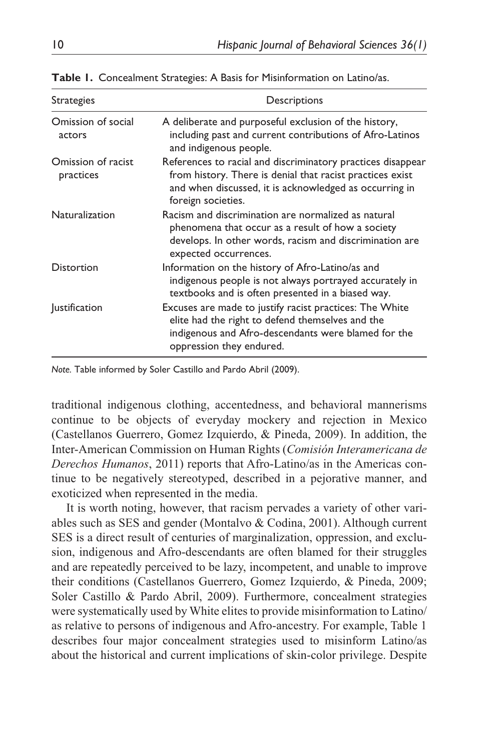| <b>Strategies</b>               | Descriptions                                                                                                                                                                                             |  |  |
|---------------------------------|----------------------------------------------------------------------------------------------------------------------------------------------------------------------------------------------------------|--|--|
| Omission of social<br>actors    | A deliberate and purposeful exclusion of the history,<br>including past and current contributions of Afro-Latinos<br>and indigenous people.                                                              |  |  |
| Omission of racist<br>practices | References to racial and discriminatory practices disappear<br>from history. There is denial that racist practices exist<br>and when discussed, it is acknowledged as occurring in<br>foreign societies. |  |  |
| Naturalization                  | Racism and discrimination are normalized as natural<br>phenomena that occur as a result of how a society<br>develops. In other words, racism and discrimination are<br>expected occurrences.             |  |  |
| <b>Distortion</b>               | Information on the history of Afro-Latino/as and<br>indigenous people is not always portrayed accurately in<br>textbooks and is often presented in a biased way.                                         |  |  |
| <i>ustification</i>             | Excuses are made to justify racist practices: The White<br>elite had the right to defend themselves and the<br>indigenous and Afro-descendants were blamed for the<br>oppression they endured.           |  |  |

**Table 1.** Concealment Strategies: A Basis for Misinformation on Latino/as.

*Note.* Table informed by Soler Castillo and Pardo Abril (2009).

traditional indigenous clothing, accentedness, and behavioral mannerisms continue to be objects of everyday mockery and rejection in Mexico (Castellanos Guerrero, Gomez Izquierdo, & Pineda, 2009). In addition, the Inter-American Commission on Human Rights (*Comisión Interamericana de Derechos Humanos*, 2011) reports that Afro-Latino/as in the Americas continue to be negatively stereotyped, described in a pejorative manner, and exoticized when represented in the media.

It is worth noting, however, that racism pervades a variety of other variables such as SES and gender (Montalvo & Codina, 2001). Although current SES is a direct result of centuries of marginalization, oppression, and exclusion, indigenous and Afro-descendants are often blamed for their struggles and are repeatedly perceived to be lazy, incompetent, and unable to improve their conditions (Castellanos Guerrero, Gomez Izquierdo, & Pineda, 2009; Soler Castillo & Pardo Abril, 2009). Furthermore, concealment strategies were systematically used by White elites to provide misinformation to Latino/ as relative to persons of indigenous and Afro-ancestry. For example, Table 1 describes four major concealment strategies used to misinform Latino/as about the historical and current implications of skin-color privilege. Despite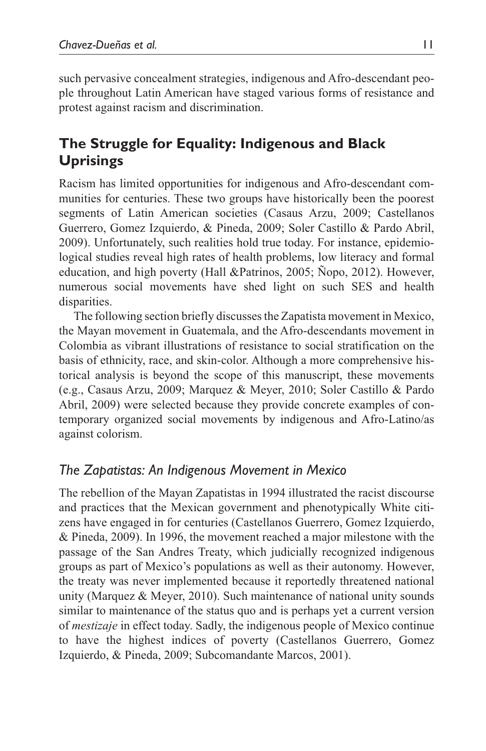such pervasive concealment strategies, indigenous and Afro-descendant people throughout Latin American have staged various forms of resistance and protest against racism and discrimination.

# **The Struggle for Equality: Indigenous and Black Uprisings**

Racism has limited opportunities for indigenous and Afro-descendant communities for centuries. These two groups have historically been the poorest segments of Latin American societies (Casaus Arzu, 2009; Castellanos Guerrero, Gomez Izquierdo, & Pineda, 2009; Soler Castillo & Pardo Abril, 2009). Unfortunately, such realities hold true today. For instance, epidemiological studies reveal high rates of health problems, low literacy and formal education, and high poverty (Hall &Patrinos, 2005; Ñopo, 2012). However, numerous social movements have shed light on such SES and health disparities.

The following section briefly discusses the Zapatista movement in Mexico, the Mayan movement in Guatemala, and the Afro-descendants movement in Colombia as vibrant illustrations of resistance to social stratification on the basis of ethnicity, race, and skin-color. Although a more comprehensive historical analysis is beyond the scope of this manuscript, these movements (e.g., Casaus Arzu, 2009; Marquez & Meyer, 2010; Soler Castillo & Pardo Abril, 2009) were selected because they provide concrete examples of contemporary organized social movements by indigenous and Afro-Latino/as against colorism.

### *The Zapatistas: An Indigenous Movement in Mexico*

The rebellion of the Mayan Zapatistas in 1994 illustrated the racist discourse and practices that the Mexican government and phenotypically White citizens have engaged in for centuries (Castellanos Guerrero, Gomez Izquierdo, & Pineda, 2009). In 1996, the movement reached a major milestone with the passage of the San Andres Treaty, which judicially recognized indigenous groups as part of Mexico's populations as well as their autonomy. However, the treaty was never implemented because it reportedly threatened national unity (Marquez & Meyer, 2010). Such maintenance of national unity sounds similar to maintenance of the status quo and is perhaps yet a current version of *mestizaje* in effect today. Sadly, the indigenous people of Mexico continue to have the highest indices of poverty (Castellanos Guerrero, Gomez Izquierdo, & Pineda, 2009; Subcomandante Marcos, 2001).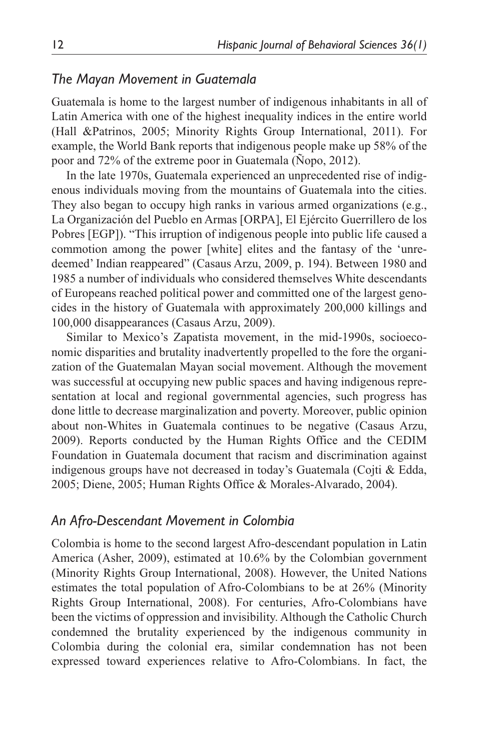### *The Mayan Movement in Guatemala*

Guatemala is home to the largest number of indigenous inhabitants in all of Latin America with one of the highest inequality indices in the entire world (Hall &Patrinos, 2005; Minority Rights Group International, 2011). For example, the World Bank reports that indigenous people make up 58% of the poor and 72% of the extreme poor in Guatemala (Ñopo, 2012).

In the late 1970s, Guatemala experienced an unprecedented rise of indigenous individuals moving from the mountains of Guatemala into the cities. They also began to occupy high ranks in various armed organizations (e.g., La Organización del Pueblo en Armas [ORPA], El Ejército Guerrillero de los Pobres [EGP]). "This irruption of indigenous people into public life caused a commotion among the power [white] elites and the fantasy of the 'unredeemed' Indian reappeared" (Casaus Arzu, 2009, p. 194). Between 1980 and 1985 a number of individuals who considered themselves White descendants of Europeans reached political power and committed one of the largest genocides in the history of Guatemala with approximately 200,000 killings and 100,000 disappearances (Casaus Arzu, 2009).

Similar to Mexico's Zapatista movement, in the mid-1990s, socioeconomic disparities and brutality inadvertently propelled to the fore the organization of the Guatemalan Mayan social movement. Although the movement was successful at occupying new public spaces and having indigenous representation at local and regional governmental agencies, such progress has done little to decrease marginalization and poverty. Moreover, public opinion about non-Whites in Guatemala continues to be negative (Casaus Arzu, 2009). Reports conducted by the Human Rights Office and the CEDIM Foundation in Guatemala document that racism and discrimination against indigenous groups have not decreased in today's Guatemala (Cojti & Edda, 2005; Diene, 2005; Human Rights Office & Morales-Alvarado, 2004).

#### *An Afro-Descendant Movement in Colombia*

Colombia is home to the second largest Afro-descendant population in Latin America (Asher, 2009), estimated at 10.6% by the Colombian government (Minority Rights Group International, 2008). However, the United Nations estimates the total population of Afro-Colombians to be at 26% (Minority Rights Group International, 2008). For centuries, Afro-Colombians have been the victims of oppression and invisibility. Although the Catholic Church condemned the brutality experienced by the indigenous community in Colombia during the colonial era, similar condemnation has not been expressed toward experiences relative to Afro-Colombians. In fact, the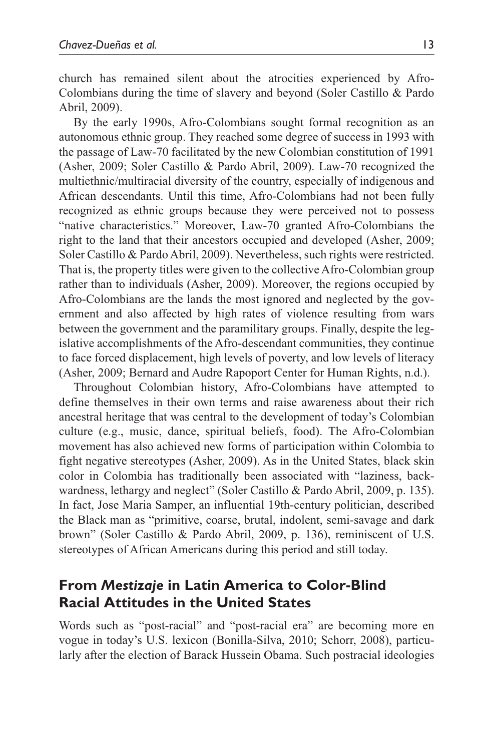church has remained silent about the atrocities experienced by Afro-Colombians during the time of slavery and beyond (Soler Castillo & Pardo Abril, 2009).

By the early 1990s, Afro-Colombians sought formal recognition as an autonomous ethnic group. They reached some degree of success in 1993 with the passage of Law-70 facilitated by the new Colombian constitution of 1991 (Asher, 2009; Soler Castillo & Pardo Abril, 2009). Law-70 recognized the multiethnic/multiracial diversity of the country, especially of indigenous and African descendants. Until this time, Afro-Colombians had not been fully recognized as ethnic groups because they were perceived not to possess "native characteristics." Moreover, Law-70 granted Afro-Colombians the right to the land that their ancestors occupied and developed (Asher, 2009; Soler Castillo & Pardo Abril, 2009). Nevertheless, such rights were restricted. That is, the property titles were given to the collective Afro-Colombian group rather than to individuals (Asher, 2009). Moreover, the regions occupied by Afro-Colombians are the lands the most ignored and neglected by the government and also affected by high rates of violence resulting from wars between the government and the paramilitary groups. Finally, despite the legislative accomplishments of the Afro-descendant communities, they continue to face forced displacement, high levels of poverty, and low levels of literacy (Asher, 2009; Bernard and Audre Rapoport Center for Human Rights, n.d.).

Throughout Colombian history, Afro-Colombians have attempted to define themselves in their own terms and raise awareness about their rich ancestral heritage that was central to the development of today's Colombian culture (e.g., music, dance, spiritual beliefs, food). The Afro-Colombian movement has also achieved new forms of participation within Colombia to fight negative stereotypes (Asher, 2009). As in the United States, black skin color in Colombia has traditionally been associated with "laziness, backwardness, lethargy and neglect" (Soler Castillo & Pardo Abril, 2009, p. 135). In fact, Jose Maria Samper, an influential 19th-century politician, described the Black man as "primitive, coarse, brutal, indolent, semi-savage and dark brown" (Soler Castillo & Pardo Abril, 2009, p. 136), reminiscent of U.S. stereotypes of African Americans during this period and still today.

### **From** *Mestizaje* **in Latin America to Color-Blind Racial Attitudes in the United States**

Words such as "post-racial" and "post-racial era" are becoming more en vogue in today's U.S. lexicon (Bonilla-Silva, 2010; Schorr, 2008), particularly after the election of Barack Hussein Obama. Such postracial ideologies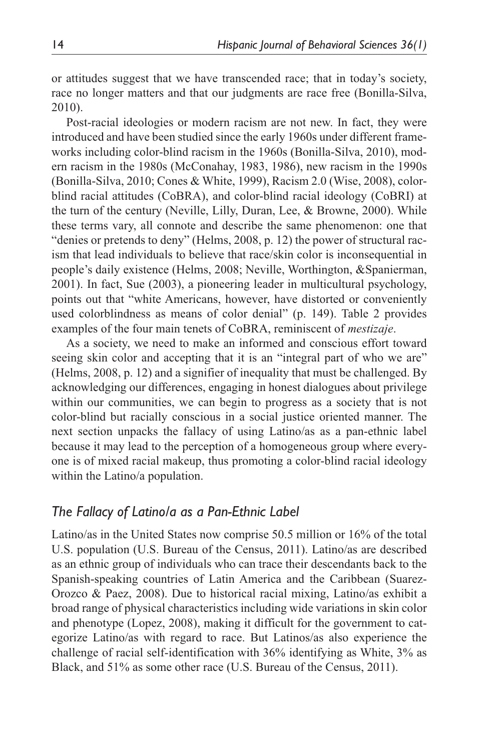or attitudes suggest that we have transcended race; that in today's society, race no longer matters and that our judgments are race free (Bonilla-Silva, 2010).

Post-racial ideologies or modern racism are not new. In fact, they were introduced and have been studied since the early 1960s under different frameworks including color-blind racism in the 1960s (Bonilla-Silva, 2010), modern racism in the 1980s (McConahay, 1983, 1986), new racism in the 1990s (Bonilla-Silva, 2010; Cones & White, 1999), Racism 2.0 (Wise, 2008), colorblind racial attitudes (CoBRA), and color-blind racial ideology (CoBRI) at the turn of the century (Neville, Lilly, Duran, Lee, & Browne, 2000). While these terms vary, all connote and describe the same phenomenon: one that "denies or pretends to deny" (Helms, 2008, p. 12) the power of structural racism that lead individuals to believe that race/skin color is inconsequential in people's daily existence (Helms, 2008; Neville, Worthington, &Spanierman, 2001). In fact, Sue (2003), a pioneering leader in multicultural psychology, points out that "white Americans, however, have distorted or conveniently used colorblindness as means of color denial" (p. 149). Table 2 provides examples of the four main tenets of CoBRA, reminiscent of *mestizaje*.

As a society, we need to make an informed and conscious effort toward seeing skin color and accepting that it is an "integral part of who we are" (Helms, 2008, p. 12) and a signifier of inequality that must be challenged. By acknowledging our differences, engaging in honest dialogues about privilege within our communities, we can begin to progress as a society that is not color-blind but racially conscious in a social justice oriented manner. The next section unpacks the fallacy of using Latino/as as a pan-ethnic label because it may lead to the perception of a homogeneous group where everyone is of mixed racial makeup, thus promoting a color-blind racial ideology within the Latino/a population.

### *The Fallacy of Latino/a as a Pan-Ethnic Label*

Latino/as in the United States now comprise 50.5 million or 16% of the total U.S. population (U.S. Bureau of the Census, 2011). Latino/as are described as an ethnic group of individuals who can trace their descendants back to the Spanish-speaking countries of Latin America and the Caribbean (Suarez-Orozco & Paez, 2008). Due to historical racial mixing, Latino/as exhibit a broad range of physical characteristics including wide variations in skin color and phenotype (Lopez, 2008), making it difficult for the government to categorize Latino/as with regard to race. But Latinos/as also experience the challenge of racial self-identification with 36% identifying as White, 3% as Black, and 51% as some other race (U.S. Bureau of the Census, 2011).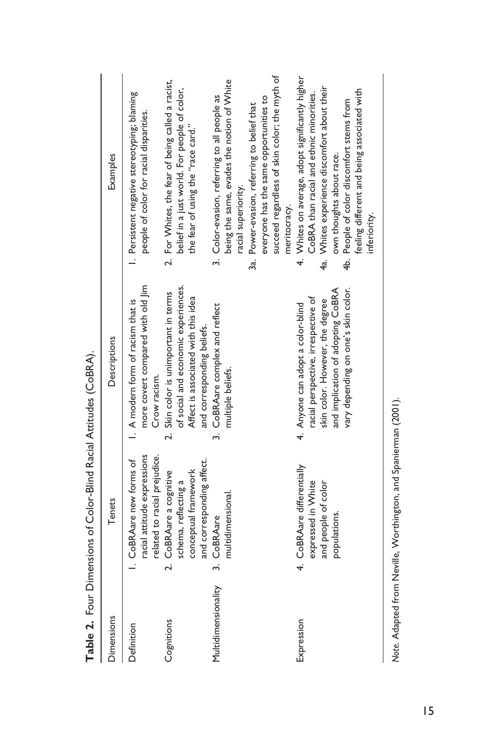|                     | <b>I able 2.</b> Four Dimensions of Loin-Bind Kacial Attitudes (LobKA).                              |                                                                                                                                                                                         |                                                                                                                                                                                                                                                                                                      |
|---------------------|------------------------------------------------------------------------------------------------------|-----------------------------------------------------------------------------------------------------------------------------------------------------------------------------------------|------------------------------------------------------------------------------------------------------------------------------------------------------------------------------------------------------------------------------------------------------------------------------------------------------|
| Dimensions          | Tenets                                                                                               | Descriptions                                                                                                                                                                            | Examples                                                                                                                                                                                                                                                                                             |
| Definition          | related to racial prejudice.<br>racial attitude expressions<br>I. CoBRAare new forms of              | more covert compared with old jim<br>I. A modern form of racism that is<br>Crow racism.                                                                                                 | I. Persistent negative stereotyping; blaming<br>people of color for racial disparities.                                                                                                                                                                                                              |
| Cognitions          | and corresponding affect.<br>conceptual framework<br>2. CoBRAare a cognitive<br>schema, reflecting a | of social and economic experiences.<br>2. Skin color is unimportant in terms<br>Affect is associated with this idea<br>and corresponding beliefs.                                       | 2. For Whites, the fear of being called a racist,<br>belief in a just world. For people of color,<br>the fear of using the "race card."                                                                                                                                                              |
| Multidimensionality | multidimensional.<br>3. CoBRAare                                                                     | 3. CoBRAare complex and reflect<br>multiple beliefs.                                                                                                                                    | succeed regardless of skin color; the myth of<br>being the same, evades the notion of White<br>3. Color-evasion, referring to all people as<br>everyone has the same opportunities to<br>3a. Power-evasion, referring to belief that<br>racial superiority.                                          |
| Expression          | 4. CoBRAare differentially<br>expressed in White<br>and people of color<br>populations.              | vary depending on one's skin color.<br>and implication of adopting CoBRA<br>racial perspective, irrespective of<br>skin color. However, the degree<br>4. Anyone can adopt a color-blind | 4. Whites on average, adopt significantly higher<br>4a. Whites experience discomfort about their<br>feeling different and being associated with<br>CoBRA than racial and ethnic minorities.<br>4b. People of color discomfort stems from<br>own thoughts about race.<br>meritocracy.<br>inferiority. |
|                     |                                                                                                      |                                                                                                                                                                                         |                                                                                                                                                                                                                                                                                                      |

Equit Dimonsions of Color Rlind Pasial Attitudes (CoRPA) **Table 2.** Four Dimensions of Color-Blind Racial Attitudes (CoBRA). Table 7

Note. Adapted from Neville, Worthington, and Spanierman (2001). *Note.* Adapted from Neville, Worthington, and Spanierman (2001).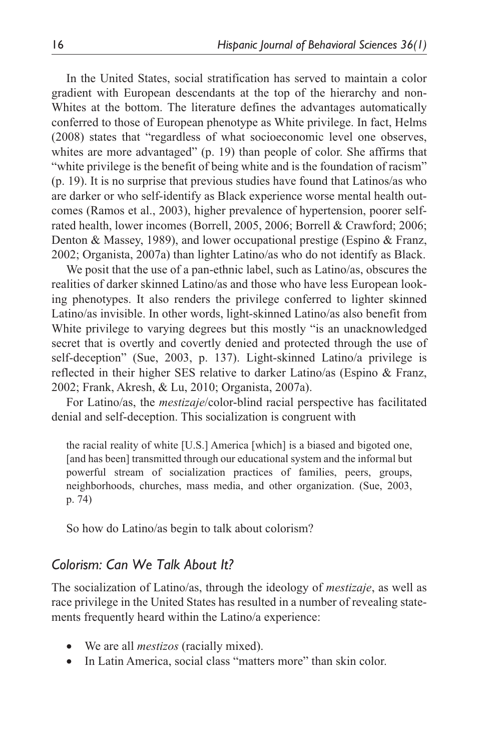In the United States, social stratification has served to maintain a color gradient with European descendants at the top of the hierarchy and non-Whites at the bottom. The literature defines the advantages automatically conferred to those of European phenotype as White privilege. In fact, Helms (2008) states that "regardless of what socioeconomic level one observes, whites are more advantaged" (p. 19) than people of color. She affirms that "white privilege is the benefit of being white and is the foundation of racism" (p. 19). It is no surprise that previous studies have found that Latinos/as who are darker or who self-identify as Black experience worse mental health outcomes (Ramos et al., 2003), higher prevalence of hypertension, poorer selfrated health, lower incomes (Borrell, 2005, 2006; Borrell & Crawford; 2006; Denton & Massey, 1989), and lower occupational prestige (Espino & Franz, 2002; Organista, 2007a) than lighter Latino/as who do not identify as Black.

We posit that the use of a pan-ethnic label, such as Latino/as, obscures the realities of darker skinned Latino/as and those who have less European looking phenotypes. It also renders the privilege conferred to lighter skinned Latino/as invisible. In other words, light-skinned Latino/as also benefit from White privilege to varying degrees but this mostly "is an unacknowledged secret that is overtly and covertly denied and protected through the use of self-deception" (Sue, 2003, p. 137). Light-skinned Latino/a privilege is reflected in their higher SES relative to darker Latino/as (Espino & Franz, 2002; Frank, Akresh, & Lu, 2010; Organista, 2007a).

For Latino/as, the *mestizaje*/color-blind racial perspective has facilitated denial and self-deception. This socialization is congruent with

the racial reality of white [U.S.] America [which] is a biased and bigoted one, [and has been] transmitted through our educational system and the informal but powerful stream of socialization practices of families, peers, groups, neighborhoods, churches, mass media, and other organization. (Sue, 2003, p. 74)

So how do Latino/as begin to talk about colorism?

### *Colorism: Can We Talk About It?*

The socialization of Latino/as, through the ideology of *mestizaje*, as well as race privilege in the United States has resulted in a number of revealing statements frequently heard within the Latino/a experience:

- We are all *mestizos* (racially mixed).
- In Latin America, social class "matters more" than skin color.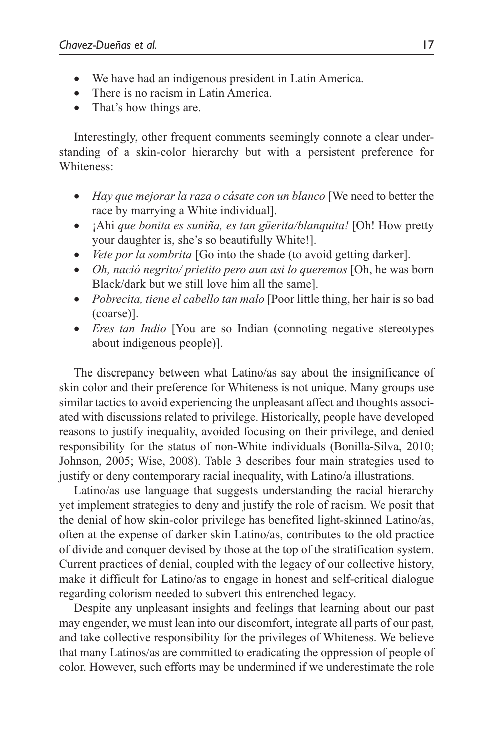- We have had an indigenous president in Latin America.
- There is no racism in Latin America.
- That's how things are.

Interestingly, other frequent comments seemingly connote a clear understanding of a skin-color hierarchy but with a persistent preference for Whiteness:

- *Hay que mejorar la raza o cásate con un blanco* [We need to better the race by marrying a White individual].
- ¡Ahi *que bonita es suniña, es tan güerita/blanquita!* [Oh! How pretty your daughter is, she's so beautifully White!].
- *Vete por la sombrita* [Go into the shade (to avoid getting darker].
- *Oh, nació negrito/ prietito pero aun asi lo queremos* [Oh, he was born Black/dark but we still love him all the same].
- *Pobrecita, tiene el cabello tan malo* [Poor little thing, her hair is so bad (coarse)].
- *Eres tan Indio* [You are so Indian (connoting negative stereotypes about indigenous people)].

The discrepancy between what Latino/as say about the insignificance of skin color and their preference for Whiteness is not unique. Many groups use similar tactics to avoid experiencing the unpleasant affect and thoughts associated with discussions related to privilege. Historically, people have developed reasons to justify inequality, avoided focusing on their privilege, and denied responsibility for the status of non-White individuals (Bonilla-Silva, 2010; Johnson, 2005; Wise, 2008). Table 3 describes four main strategies used to justify or deny contemporary racial inequality, with Latino/a illustrations.

Latino/as use language that suggests understanding the racial hierarchy yet implement strategies to deny and justify the role of racism. We posit that the denial of how skin-color privilege has benefited light-skinned Latino/as, often at the expense of darker skin Latino/as, contributes to the old practice of divide and conquer devised by those at the top of the stratification system. Current practices of denial, coupled with the legacy of our collective history, make it difficult for Latino/as to engage in honest and self-critical dialogue regarding colorism needed to subvert this entrenched legacy.

Despite any unpleasant insights and feelings that learning about our past may engender, we must lean into our discomfort, integrate all parts of our past, and take collective responsibility for the privileges of Whiteness. We believe that many Latinos/as are committed to eradicating the oppression of people of color. However, such efforts may be undermined if we underestimate the role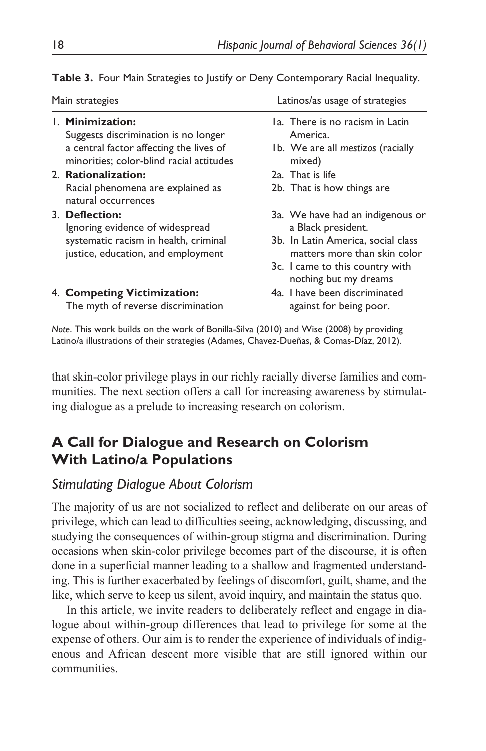| Main strategies |                                                                                     | Latinos/as usage of strategies                                     |  |
|-----------------|-------------------------------------------------------------------------------------|--------------------------------------------------------------------|--|
|                 | I. Minimization:<br>Suggests discrimination is no longer                            | Ia. There is no racism in Latin<br>America.                        |  |
|                 | a central factor affecting the lives of<br>minorities: color-blind racial attitudes | 1b. We are all mestizos (racially<br>mixed)                        |  |
|                 | 2. Rationalization:                                                                 | 2a. That is life                                                   |  |
|                 | Racial phenomena are explained as<br>natural occurrences                            | 2b. That is how things are                                         |  |
|                 | 3. Deflection:<br>Ignoring evidence of widespread                                   | 3a. We have had an indigenous or<br>a Black president.             |  |
|                 | systematic racism in health, criminal<br>justice, education, and employment         | 3b. In Latin America, social class<br>matters more than skin color |  |
|                 |                                                                                     | 3c. I came to this country with<br>nothing but my dreams           |  |
|                 | 4. Competing Victimization:                                                         | 4a. I have been discriminated                                      |  |
|                 | The myth of reverse discrimination                                                  | against for being poor.                                            |  |

**Table 3.** Four Main Strategies to Justify or Deny Contemporary Racial Inequality.

*Note*. This work builds on the work of Bonilla-Silva (2010) and Wise (2008) by providing Latino/a illustrations of their strategies (Adames, Chavez-Dueñas, & Comas-Díaz, 2012).

that skin-color privilege plays in our richly racially diverse families and communities. The next section offers a call for increasing awareness by stimulating dialogue as a prelude to increasing research on colorism.

### **A Call for Dialogue and Research on Colorism With Latino/a Populations**

### *Stimulating Dialogue About Colorism*

The majority of us are not socialized to reflect and deliberate on our areas of privilege, which can lead to difficulties seeing, acknowledging, discussing, and studying the consequences of within-group stigma and discrimination. During occasions when skin-color privilege becomes part of the discourse, it is often done in a superficial manner leading to a shallow and fragmented understanding. This is further exacerbated by feelings of discomfort, guilt, shame, and the like, which serve to keep us silent, avoid inquiry, and maintain the status quo.

In this article, we invite readers to deliberately reflect and engage in dialogue about within-group differences that lead to privilege for some at the expense of others. Our aim is to render the experience of individuals of indigenous and African descent more visible that are still ignored within our communities.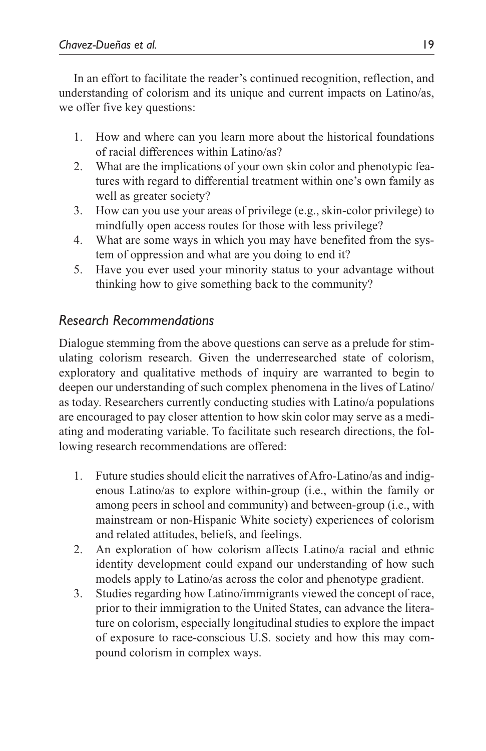In an effort to facilitate the reader's continued recognition, reflection, and understanding of colorism and its unique and current impacts on Latino/as, we offer five key questions:

- 1. How and where can you learn more about the historical foundations of racial differences within Latino/as?
- 2. What are the implications of your own skin color and phenotypic features with regard to differential treatment within one's own family as well as greater society?
- 3. How can you use your areas of privilege (e.g., skin-color privilege) to mindfully open access routes for those with less privilege?
- 4. What are some ways in which you may have benefited from the system of oppression and what are you doing to end it?
- 5. Have you ever used your minority status to your advantage without thinking how to give something back to the community?

### *Research Recommendations*

Dialogue stemming from the above questions can serve as a prelude for stimulating colorism research. Given the underresearched state of colorism, exploratory and qualitative methods of inquiry are warranted to begin to deepen our understanding of such complex phenomena in the lives of Latino/ as today. Researchers currently conducting studies with Latino/a populations are encouraged to pay closer attention to how skin color may serve as a mediating and moderating variable. To facilitate such research directions, the following research recommendations are offered:

- 1. Future studies should elicit the narratives of Afro-Latino/as and indigenous Latino/as to explore within-group (i.e., within the family or among peers in school and community) and between-group (i.e., with mainstream or non-Hispanic White society) experiences of colorism and related attitudes, beliefs, and feelings.
- 2. An exploration of how colorism affects Latino/a racial and ethnic identity development could expand our understanding of how such models apply to Latino/as across the color and phenotype gradient.
- 3. Studies regarding how Latino/immigrants viewed the concept of race, prior to their immigration to the United States, can advance the literature on colorism, especially longitudinal studies to explore the impact of exposure to race-conscious U.S. society and how this may compound colorism in complex ways.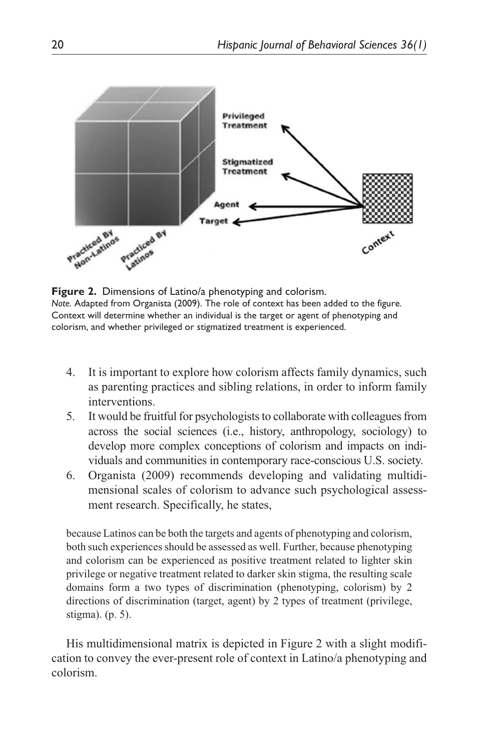

**Figure 2.** Dimensions of Latino/a phenotyping and colorism. *Note.* Adapted from Organista (2009). The role of context has been added to the figure. Context will determine whether an individual is the target or agent of phenotyping and colorism, and whether privileged or stigmatized treatment is experienced.

- 4. It is important to explore how colorism affects family dynamics, such as parenting practices and sibling relations, in order to inform family interventions.
- 5. It would be fruitful for psychologists to collaborate with colleagues from across the social sciences (i.e., history, anthropology, sociology) to develop more complex conceptions of colorism and impacts on individuals and communities in contemporary race-conscious U.S. society.
- 6. Organista (2009) recommends developing and validating multidimensional scales of colorism to advance such psychological assessment research. Specifically, he states,

because Latinos can be both the targets and agents of phenotyping and colorism, both such experiences should be assessed as well. Further, because phenotyping and colorism can be experienced as positive treatment related to lighter skin privilege or negative treatment related to darker skin stigma, the resulting scale domains form a two types of discrimination (phenotyping, colorism) by 2 directions of discrimination (target, agent) by 2 types of treatment (privilege, stigma). (p. 5).

His multidimensional matrix is depicted in Figure 2 with a slight modification to convey the ever-present role of context in Latino/a phenotyping and colorism.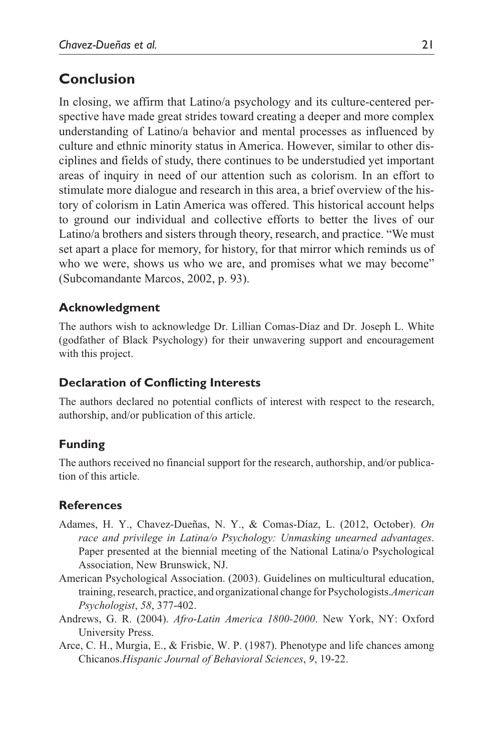# **Conclusion**

In closing, we affirm that Latino/a psychology and its culture-centered perspective have made great strides toward creating a deeper and more complex understanding of Latino/a behavior and mental processes as influenced by culture and ethnic minority status in America. However, similar to other disciplines and fields of study, there continues to be understudied yet important areas of inquiry in need of our attention such as colorism. In an effort to stimulate more dialogue and research in this area, a brief overview of the history of colorism in Latin America was offered. This historical account helps to ground our individual and collective efforts to better the lives of our Latino/a brothers and sisters through theory, research, and practice. "We must set apart a place for memory, for history, for that mirror which reminds us of who we were, shows us who we are, and promises what we may become" (Subcomandante Marcos, 2002, p. 93).

### **Acknowledgment**

The authors wish to acknowledge Dr. Lillian Comas-Díaz and Dr. Joseph L. White (godfather of Black Psychology) for their unwavering support and encouragement with this project.

### **Declaration of Conflicting Interests**

The authors declared no potential conflicts of interest with respect to the research, authorship, and/or publication of this article.

### **Funding**

The authors received no financial support for the research, authorship, and/or publication of this article.

### **References**

- Adames, H. Y., Chavez-Dueñas, N. Y., & Comas-Díaz, L. (2012, October). *On race and privilege in Latina/o Psychology: Unmasking unearned advantages*. Paper presented at the biennial meeting of the National Latina/o Psychological Association, New Brunswick, NJ.
- American Psychological Association. (2003). Guidelines on multicultural education, training, research, practice, and organizational change for Psychologists.*American Psychologist*, *58*, 377-402.
- Andrews, G. R. (2004). *Afro-Latin America 1800-2000*. New York, NY: Oxford University Press.
- Arce, C. H., Murgia, E., & Frisbie, W. P. (1987). Phenotype and life chances among Chicanos.*Hispanic Journal of Behavioral Sciences*, *9*, 19-22.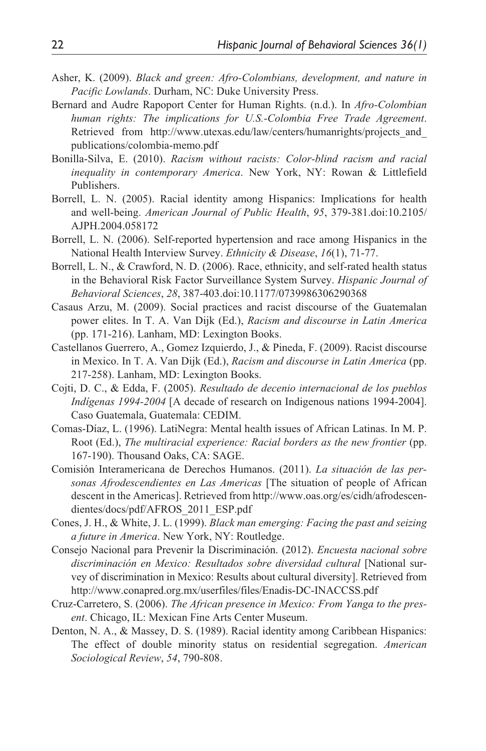- Asher, K. (2009). *Black and green: Afro-Colombians, development, and nature in Pacific Lowlands*. Durham, NC: Duke University Press.
- Bernard and Audre Rapoport Center for Human Rights. (n.d.). In *Afro-Colombian human rights: The implications for U.S.-Colombia Free Trade Agreement*. Retrieved from http://www.utexas.edu/law/centers/humanrights/projects and [publications/colombia-memo.pdf](http://www.utexas.edu/law/centers/humanrights/projects_and_publications/colombia-memo.pdf)
- Bonilla-Silva, E. (2010). *Racism without racists: Color-blind racism and racial inequality in contemporary America*. New York, NY: Rowan & Littlefield Publishers.
- Borrell, L. N. (2005). Racial identity among Hispanics: Implications for health and well-being. *American Journal of Public Health*, *95*, 379-381.doi:10.2105/ AJPH.2004.058172
- Borrell, L. N. (2006). Self-reported hypertension and race among Hispanics in the National Health Interview Survey. *Ethnicity & Disease*, *16*(1), 71-77.
- Borrell, L. N., & Crawford, N. D. (2006). Race, ethnicity, and self-rated health status in the Behavioral Risk Factor Surveillance System Survey. *Hispanic Journal of Behavioral Sciences*, *28*, 387-403.doi:10.1177/0739986306290368
- Casaus Arzu, M. (2009). Social practices and racist discourse of the Guatemalan power elites. In T. A. Van Dijk (Ed.), *Racism and discourse in Latin America* (pp. 171-216). Lanham, MD: Lexington Books.
- Castellanos Guerrero, A., Gomez Izquierdo, J., & Pineda, F. (2009). Racist discourse in Mexico. In T. A. Van Dijk (Ed.), *Racism and discourse in Latin America* (pp. 217-258). Lanham, MD: Lexington Books.
- Cojti, D. C., & Edda, F. (2005). *Resultado de decenio internacional de los pueblos Indígenas 1994-2004* [A decade of research on Indigenous nations 1994-2004]. Caso Guatemala, Guatemala: CEDIM.
- Comas-Díaz, L. (1996). LatiNegra: Mental health issues of African Latinas. In M. P. Root (Ed.), *The multiracial experience: Racial borders as the new frontier* (pp. 167-190). Thousand Oaks, CA: SAGE.
- Comisión Interamericana de Derechos Humanos. (2011). *La situación de las personas Afrodescendientes en Las Americas* [The situation of people of African descent in the Americas]. Retrieved from [http://www.oas.org/es/cidh/afrodescen](http://www.oas.org/es/cidh/afrodescendientes/docs/pdf/AFROS_2011_ESP.pdf)[dientes/docs/pdf/AFROS\\_2011\\_ESP.pdf](http://www.oas.org/es/cidh/afrodescendientes/docs/pdf/AFROS_2011_ESP.pdf)
- Cones, J. H., & White, J. L. (1999). *Black man emerging: Facing the past and seizing a future in America*. New York, NY: Routledge.
- Consejo Nacional para Prevenir la Discriminación. (2012). *Encuesta nacional sobre discriminación en Mexico: Resultados sobre diversidad cultural* [National survey of discrimination in Mexico: Results about cultural diversity]. Retrieved from <http://www.conapred.org.mx/userfiles/files/Enadis-DC-INACCSS.pdf>
- Cruz-Carretero, S. (2006). *The African presence in Mexico: From Yanga to the present*. Chicago, IL: Mexican Fine Arts Center Museum.
- Denton, N. A., & Massey, D. S. (1989). Racial identity among Caribbean Hispanics: The effect of double minority status on residential segregation. *American Sociological Review*, *54*, 790-808.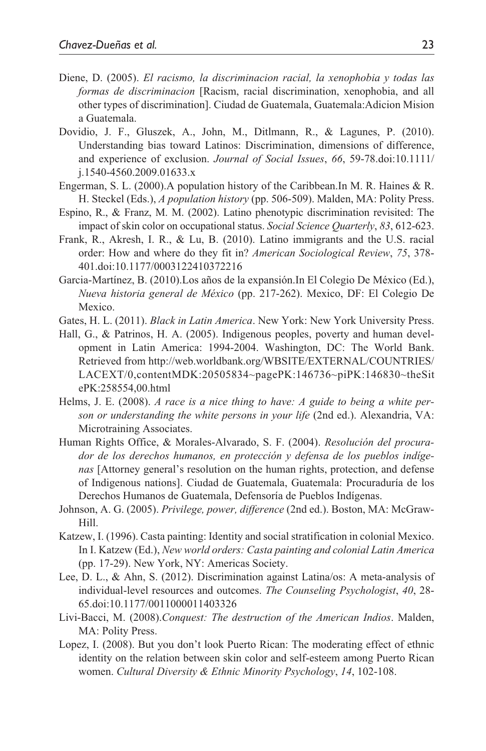- Diene, D. (2005). *El racismo, la discriminacion racial, la xenophobia y todas las formas de discriminacion* [Racism, racial discrimination, xenophobia, and all other types of discrimination]. Ciudad de Guatemala, Guatemala:Adicion Mision a Guatemala.
- Dovidio, J. F., Gluszek, A., John, M., Ditlmann, R., & Lagunes, P. (2010). Understanding bias toward Latinos: Discrimination, dimensions of difference, and experience of exclusion. *Journal of Social Issues*, *66*, 59-78.doi:10.1111/ j.1540-4560.2009.01633.x
- Engerman, S. L. (2000).A population history of the Caribbean.In M. R. Haines & R. H. Steckel (Eds.), *A population history* (pp. 506-509). Malden, MA: Polity Press.
- Espino, R., & Franz, M. M. (2002). Latino phenotypic discrimination revisited: The impact of skin color on occupational status. *Social Science Quarterly*, *83*, 612-623.
- Frank, R., Akresh, I. R., & Lu, B. (2010). Latino immigrants and the U.S. racial order: How and where do they fit in? *American Sociological Review*, *75*, 378- 401.doi:10.1177/0003122410372216
- Garcia-Martínez, B. (2010).Los años de la expansión.In El Colegio De México (Ed.), *Nueva historia general de México* (pp. 217-262). Mexico, DF: El Colegio De Mexico.
- Gates, H. L. (2011). *Black in Latin America*. New York: New York University Press.
- Hall, G., & Patrinos, H. A. (2005). Indigenous peoples, poverty and human development in Latin America: 1994-2004. Washington, DC: The World Bank. Retrieved from [http://web.worldbank.org/WBSITE/EXTERNAL/COUNTRIES/](http://web.worldbank.org/WBSITE/EXTERNAL/COUNTRIES/LACEXT/0,contentMDK:20505834~pagePK:146736~piPK:146830~theSitePK:258554,00.html) [LACEXT/0,contentMDK:20505834~pagePK:146736~piPK:146830~theSit](http://web.worldbank.org/WBSITE/EXTERNAL/COUNTRIES/LACEXT/0,contentMDK:20505834~pagePK:146736~piPK:146830~theSitePK:258554,00.html) [ePK:258554,00.html](http://web.worldbank.org/WBSITE/EXTERNAL/COUNTRIES/LACEXT/0,contentMDK:20505834~pagePK:146736~piPK:146830~theSitePK:258554,00.html)
- Helms, J. E. (2008). *A race is a nice thing to have: A guide to being a white person or understanding the white persons in your life* (2nd ed.). Alexandria, VA: Microtraining Associates.
- Human Rights Office, & Morales-Alvarado, S. F. (2004). *Resolución del procurador de los derechos humanos, en protección y defensa de los pueblos indígenas* [Attorney general's resolution on the human rights, protection, and defense of Indigenous nations]. Ciudad de Guatemala, Guatemala: Procuraduría de los Derechos Humanos de Guatemala, Defensoría de Pueblos Indígenas.
- Johnson, A. G. (2005). *Privilege, power, difference* (2nd ed.). Boston, MA: McGraw-Hill.
- Katzew, I. (1996). Casta painting: Identity and social stratification in colonial Mexico. In I. Katzew (Ed.), *New world orders: Casta painting and colonial Latin America* (pp. 17-29). New York, NY: Americas Society.
- Lee, D. L., & Ahn, S. (2012). Discrimination against Latina/os: A meta-analysis of individual-level resources and outcomes. *The Counseling Psychologist*, *40*, 28- 65.doi:10.1177/0011000011403326
- Livi-Bacci, M. (2008).*Conquest: The destruction of the American Indios*. Malden, MA: Polity Press.
- Lopez, I. (2008). But you don't look Puerto Rican: The moderating effect of ethnic identity on the relation between skin color and self-esteem among Puerto Rican women. *Cultural Diversity & Ethnic Minority Psychology*, *14*, 102-108.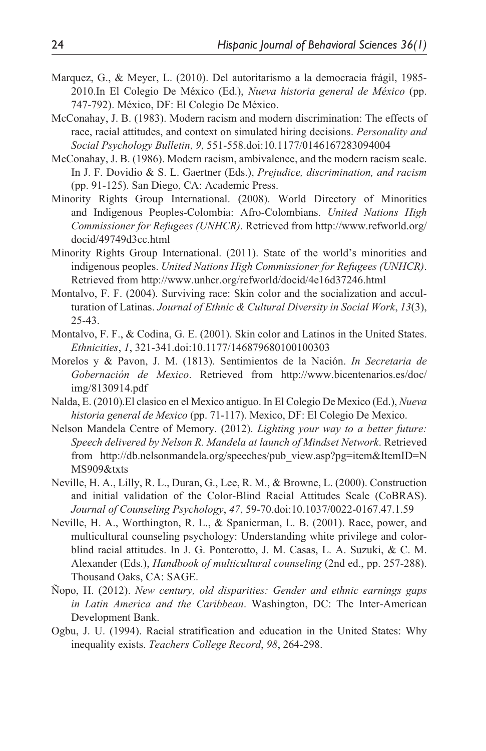- Marquez, G., & Meyer, L. (2010). Del autoritarismo a la democracia frágil, 1985- 2010.In El Colegio De México (Ed.), *Nueva historia general de México* (pp. 747-792). México, DF: El Colegio De México.
- McConahay, J. B. (1983). Modern racism and modern discrimination: The effects of race, racial attitudes, and context on simulated hiring decisions. *Personality and Social Psychology Bulletin*, *9*, 551-558.doi:10.1177/0146167283094004
- McConahay, J. B. (1986). Modern racism, ambivalence, and the modern racism scale. In J. F. Dovidio & S. L. Gaertner (Eds.), *Prejudice, discrimination, and racism* (pp. 91-125). San Diego, CA: Academic Press.
- Minority Rights Group International. (2008). World Directory of Minorities and Indigenous Peoples-Colombia: Afro-Colombians. *United Nations High Commissioner for Refugees (UNHCR)*. Retrieved from [http://www.refworld.org/](http://www.refworld.org/docid/49749d3cc.html) [docid/49749d3cc.html](http://www.refworld.org/docid/49749d3cc.html)
- Minority Rights Group International. (2011). State of the world's minorities and indigenous peoples. *United Nations High Commissioner for Refugees (UNHCR)*. Retrieved from <http://www.unhcr.org/refworld/docid/4e16d37246.html>
- Montalvo, F. F. (2004). Surviving race: Skin color and the socialization and acculturation of Latinas. *Journal of Ethnic & Cultural Diversity in Social Work*, *13*(3), 25-43.
- Montalvo, F. F., & Codina, G. E. (2001). Skin color and Latinos in the United States. *Ethnicities*, *1*, 321-341.doi:10.1177/146879680100100303
- Morelos y & Pavon, J. M. (1813). Sentimientos de la Nación. *In Secretaria de Gobernación de Mexico*. Retrieved from [http://www.bicentenarios.es/doc/](http://www.bicentenarios.es/doc/img/8130914.pdf) [img/8130914.pdf](http://www.bicentenarios.es/doc/img/8130914.pdf)
- Nalda, E. (2010).El clasico en el Mexico antiguo. In El Colegio De Mexico (Ed.), *Nueva historia general de Mexico* (pp. 71-117). Mexico, DF: El Colegio De Mexico.
- Nelson Mandela Centre of Memory. (2012). *Lighting your way to a better future: Speech delivered by Nelson R. Mandela at launch of Mindset Network*. Retrieved from [http://db.nelsonmandela.org/speeches/pub\\_view.asp?pg=item&ItemID=N](http://db.nelsonmandela.org/speeches/pub_view.asp?pg=item&ItemID=NMS909&txts) [MS909&txts](http://db.nelsonmandela.org/speeches/pub_view.asp?pg=item&ItemID=NMS909&txts)
- Neville, H. A., Lilly, R. L., Duran, G., Lee, R. M., & Browne, L. (2000). Construction and initial validation of the Color-Blind Racial Attitudes Scale (CoBRAS). *Journal of Counseling Psychology*, *47*, 59-70.doi:10.1037/0022-0167.47.1.59
- Neville, H. A., Worthington, R. L., & Spanierman, L. B. (2001). Race, power, and multicultural counseling psychology: Understanding white privilege and colorblind racial attitudes. In J. G. Ponterotto, J. M. Casas, L. A. Suzuki, & C. M. Alexander (Eds.), *Handbook of multicultural counseling* (2nd ed., pp. 257-288). Thousand Oaks, CA: SAGE.
- Ñopo, H. (2012). *New century, old disparities: Gender and ethnic earnings gaps in Latin America and the Caribbean*. Washington, DC: The Inter-American Development Bank.
- Ogbu, J. U. (1994). Racial stratification and education in the United States: Why inequality exists. *Teachers College Record*, *98*, 264-298.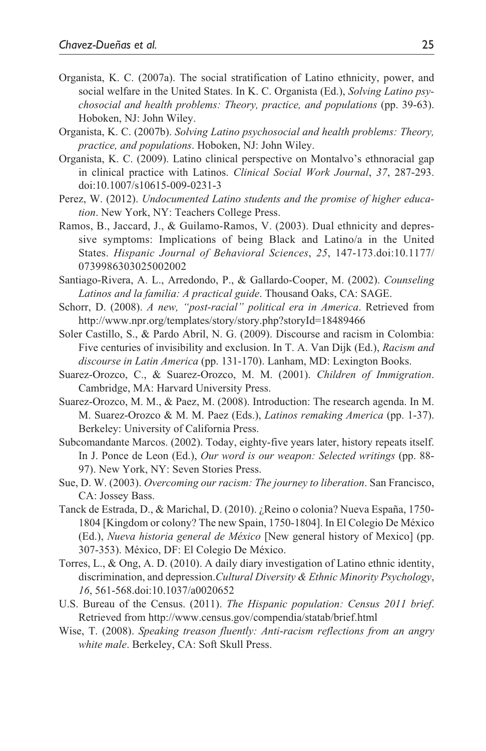- Organista, K. C. (2007a). The social stratification of Latino ethnicity, power, and social welfare in the United States. In K. C. Organista (Ed.), *Solving Latino psychosocial and health problems: Theory, practice, and populations* (pp. 39-63). Hoboken, NJ: John Wiley.
- Organista, K. C. (2007b). *Solving Latino psychosocial and health problems: Theory, practice, and populations*. Hoboken, NJ: John Wiley.
- Organista, K. C. (2009). Latino clinical perspective on Montalvo's ethnoracial gap in clinical practice with Latinos. *Clinical Social Work Journal*, *37*, 287-293. doi:10.1007/s10615-009-0231-3
- Perez, W. (2012). *Undocumented Latino students and the promise of higher education*. New York, NY: Teachers College Press.
- Ramos, B., Jaccard, J., & Guilamo-Ramos, V. (2003). Dual ethnicity and depressive symptoms: Implications of being Black and Latino/a in the United States. *Hispanic Journal of Behavioral Sciences*, *25*, 147-173.doi:10.1177/ 0739986303025002002
- Santiago-Rivera, A. L., Arredondo, P., & Gallardo-Cooper, M. (2002). *Counseling Latinos and la familia: A practical guide*. Thousand Oaks, CA: SAGE.
- Schorr, D. (2008). *A new, "post-racial" political era in America*. Retrieved from <http://www.npr.org/templates/story/story.php?storyId=18489466>
- Soler Castillo, S., & Pardo Abril, N. G. (2009). Discourse and racism in Colombia: Five centuries of invisibility and exclusion. In T. A. Van Dijk (Ed.), *Racism and discourse in Latin America* (pp. 131-170). Lanham, MD: Lexington Books.
- Suarez-Orozco, C., & Suarez-Orozco, M. M. (2001). *Children of Immigration*. Cambridge, MA: Harvard University Press.
- Suarez-Orozco, M. M., & Paez, M. (2008). Introduction: The research agenda. In M. M. Suarez-Orozco & M. M. Paez (Eds.), *Latinos remaking America* (pp. 1-37). Berkeley: University of California Press.
- Subcomandante Marcos. (2002). Today, eighty-five years later, history repeats itself. In J. Ponce de Leon (Ed.), *Our word is our weapon: Selected writings* (pp. 88- 97). New York, NY: Seven Stories Press.
- Sue, D. W. (2003). *Overcoming our racism: The journey to liberation*. San Francisco, CA: Jossey Bass.
- Tanck de Estrada, D., & Marichal, D. (2010). ¿Reino o colonia? Nueva España, 1750- 1804 [Kingdom or colony? The new Spain, 1750-1804]. In El Colegio De México (Ed.), *Nueva historia general de México* [New general history of Mexico] (pp. 307-353). México, DF: El Colegio De México.
- Torres, L., & Ong, A. D. (2010). A daily diary investigation of Latino ethnic identity, discrimination, and depression.*Cultural Diversity & Ethnic Minority Psychology*, *16*, 561-568.doi:10.1037/a0020652
- U.S. Bureau of the Census. (2011). *The Hispanic population: Census 2011 brief*. Retrieved from <http://www.census.gov/compendia/statab/brief.html>
- Wise, T. (2008). *Speaking treason fluently: Anti*-*racism reflections from an angry white male*. Berkeley, CA: Soft Skull Press.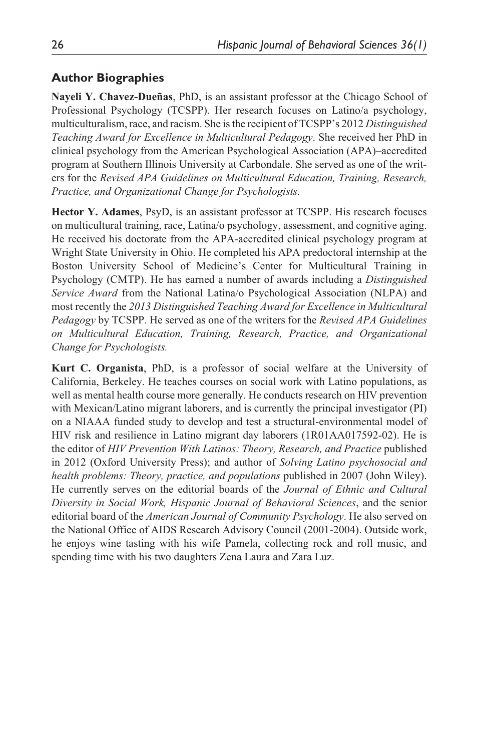### **Author Biographies**

**Nayeli Y. Chavez-Dueñas**, PhD, is an assistant professor at the Chicago School of Professional Psychology (TCSPP). Her research focuses on Latino/a psychology, multiculturalism, race, and racism. She is the recipient of TCSPP's 2012 *Distinguished Teaching Award for Excellence in Multicultural Pedagogy*. She received her PhD in clinical psychology from the American Psychological Association (APA)–accredited program at Southern Illinois University at Carbondale. She served as one of the writers for the *Revised APA Guidelines on Multicultural Education, Training, Research, Practice, and Organizational Change for Psychologists.*

**Hector Y. Adames**, PsyD, is an assistant professor at TCSPP. His research focuses on multicultural training, race, Latina/o psychology, assessment, and cognitive aging. He received his doctorate from the APA-accredited clinical psychology program at Wright State University in Ohio. He completed his APA predoctoral internship at the Boston University School of Medicine's Center for Multicultural Training in Psychology (CMTP). He has earned a number of awards including a *Distinguished Service Award* from the National Latina/o Psychological Association (NLPA) and most recently the *2013 Distinguished Teaching Award for Excellence in Multicultural Pedagogy* by TCSPP. He served as one of the writers for the *Revised APA Guidelines on Multicultural Education, Training, Research, Practice, and Organizational Change for Psychologists.*

**Kurt C. Organista**, PhD, is a professor of social welfare at the University of California, Berkeley. He teaches courses on social work with Latino populations, as well as mental health course more generally. He conducts research on HIV prevention with Mexican/Latino migrant laborers, and is currently the principal investigator (PI) on a NIAAA funded study to develop and test a structural-environmental model of HIV risk and resilience in Latino migrant day laborers (1R01AA017592-02). He is the editor of *HIV Prevention With Latinos: Theory, Research, and Practice* published in 2012 (Oxford University Press); and author of *Solving Latino psychosocial and health problems: Theory, practice, and populations* published in 2007 (John Wiley). He currently serves on the editorial boards of the *Journal of Ethnic and Cultural Diversity in Social Work, Hispanic Journal of Behavioral Sciences*, and the senior editorial board of the *American Journal of Community Psychology*. He also served on the National Office of AIDS Research Advisory Council (2001-2004). Outside work, he enjoys wine tasting with his wife Pamela, collecting rock and roll music, and spending time with his two daughters Zena Laura and Zara Luz.